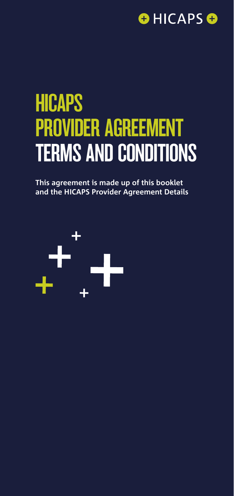

# **HICAPS** PROVIDER AGREEMENT TERMS AND CONDITIONS

**This agreement is made up of this booklet and the HICAPS Provider Agreement Details**

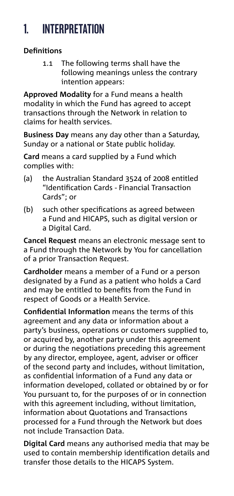# 1. INTERPRETATION

#### **Definitions**

1.1 The following terms shall have the following meanings unless the contrary intention appears:

**Approved Modality** for a Fund means a health modality in which the Fund has agreed to accept transactions through the Network in relation to claims for health services.

**Business Day** means any day other than a Saturday, Sunday or a national or State public holiday.

**Card** means a card supplied by a Fund which complies with:

- (a) the Australian Standard 3524 of 2008 entitled "Identification Cards - Financial Transaction Cards"; or
- (b) such other specifications as agreed between a Fund and HICAPS, such as digital version or a Digital Card.

**Cancel Request** means an electronic message sent to a Fund through the Network by You for cancellation of a prior Transaction Request.

**Cardholder** means a member of a Fund or a person designated by a Fund as a patient who holds a Card and may be entitled to benefits from the Fund in respect of Goods or a Health Service.

**Confidential Information** means the terms of this agreement and any data or information about a party's business, operations or customers supplied to, or acquired by, another party under this agreement or during the negotiations preceding this agreement by any director, employee, agent, adviser or officer of the second party and includes, without limitation, as confidential information of a Fund any data or information developed, collated or obtained by or for You pursuant to, for the purposes of or in connection with this agreement including, without limitation, information about Quotations and Transactions processed for a Fund through the Network but does not include Transaction Data.

**Digital Card** means any authorised media that may be used to contain membership identification details and transfer those details to the HICAPS System.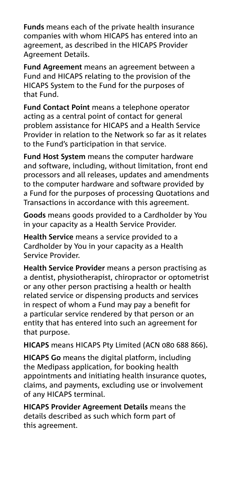**Funds** means each of the private health insurance companies with whom HICAPS has entered into an agreement, as described in the HICAPS Provider Agreement Details.

**Fund Agreement** means an agreement between a Fund and HICAPS relating to the provision of the HICAPS System to the Fund for the purposes of that Fund.

**Fund Contact Point** means a telephone operator acting as a central point of contact for general problem assistance for HICAPS and a Health Service Provider in relation to the Network so far as it relates to the Fund's participation in that service.

**Fund Host System** means the computer hardware and software, including, without limitation, front end processors and all releases, updates and amendments to the computer hardware and software provided by a Fund for the purposes of processing Quotations and Transactions in accordance with this agreement.

**Goods** means goods provided to a Cardholder by You in your capacity as a Health Service Provider.

**Health Service** means a service provided to a Cardholder by You in your capacity as a Health Service Provider.

**Health Service Provider** means a person practising as a dentist, physiotherapist, chiropractor or optometrist or any other person practising a health or health related service or dispensing products and services in respect of whom a Fund may pay a benefit for a particular service rendered by that person or an entity that has entered into such an agreement for that purpose.

**HICAPS** means HICAPS Pty Limited (ACN 080 688 866)**.**

**HICAPS Go** means the digital platform, including the Medipass application, for booking health appointments and initiating health insurance quotes, claims, and payments, excluding use or involvement of any HICAPS terminal.

**HICAPS Provider Agreement Details** means the details described as such which form part of this agreement.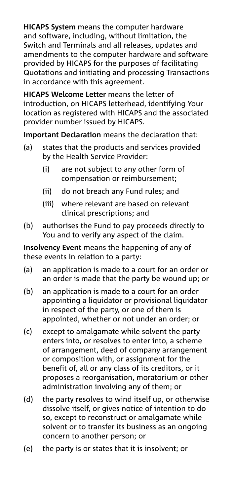**HICAPS System** means the computer hardware and software, including, without limitation, the Switch and Terminals and all releases, updates and amendments to the computer hardware and software provided by HICAPS for the purposes of facilitating Quotations and initiating and processing Transactions in accordance with this agreement.

**HICAPS Welcome Letter** means the letter of introduction, on HICAPS letterhead, identifying Your location as registered with HICAPS and the associated provider number issued by HICAPS.

**Important Declaration** means the declaration that:

- (a) states that the products and services provided by the Health Service Provider:
	- (i) are not subject to any other form of compensation or reimbursement;
	- (ii) do not breach any Fund rules; and
	- (iii) where relevant are based on relevant clinical prescriptions; and
- (b) authorises the Fund to pay proceeds directly to You and to verify any aspect of the claim.

**Insolvency Event** means the happening of any of these events in relation to a party:

- (a) an application is made to a court for an order or an order is made that the party be wound up; or
- (b) an application is made to a court for an order appointing a liquidator or provisional liquidator in respect of the party, or one of them is appointed, whether or not under an order; or
- (c) except to amalgamate while solvent the party enters into, or resolves to enter into, a scheme of arrangement, deed of company arrangement or composition with, or assignment for the benefit of, all or any class of its creditors, or it proposes a reorganisation, moratorium or other administration involving any of them; or
- (d) the party resolves to wind itself up, or otherwise dissolve itself, or gives notice of intention to do so, except to reconstruct or amalgamate while solvent or to transfer its business as an ongoing concern to another person; or
- (e) the party is or states that it is insolvent; or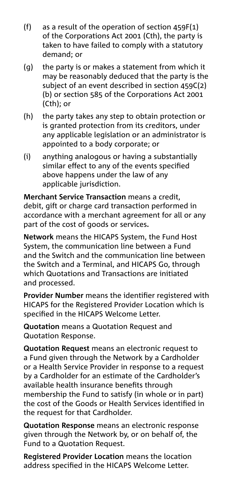- (f) as a result of the operation of section 459F(1) of the Corporations Act 2001 (Cth), the party is taken to have failed to comply with a statutory demand; or
- (g) the party is or makes a statement from which it may be reasonably deduced that the party is the subject of an event described in section 459C(2) (b) or section 585 of the Corporations Act 2001 (Cth); or
- (h) the party takes any step to obtain protection or is granted protection from its creditors, under any applicable legislation or an administrator is appointed to a body corporate; or
- (i) anything analogous or having a substantially similar effect to any of the events specified above happens under the law of any applicable jurisdiction.

**Merchant Service Transaction** means a credit, debit, gift or charge card transaction performed in accordance with a merchant agreement for all or any part of the cost of goods or services**.**

**Network** means the HICAPS System, the Fund Host System, the communication line between a Fund and the Switch and the communication line between the Switch and a Terminal, and HICAPS Go, through which Quotations and Transactions are initiated and processed.

**Provider Number** means the identifier registered with HICAPS for the Registered Provider Location which is specified in the HICAPS Welcome Letter.

**Quotation** means a Quotation Request and Quotation Response.

**Quotation Request** means an electronic request to a Fund given through the Network by a Cardholder or a Health Service Provider in response to a request by a Cardholder for an estimate of the Cardholder's available health insurance benefits through membership the Fund to satisfy (in whole or in part) the cost of the Goods or Health Services identified in the request for that Cardholder.

**Quotation Response** means an electronic response given through the Network by, or on behalf of, the Fund to a Quotation Request.

**Registered Provider Location** means the location address specified in the HICAPS Welcome Letter.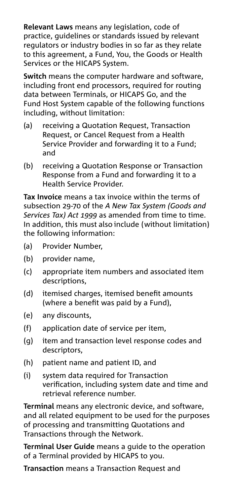**Relevant Laws** means any legislation, code of practice, guidelines or standards issued by relevant regulators or industry bodies in so far as they relate to this agreement, a Fund, You, the Goods or Health Services or the HICAPS System.

**Switch** means the computer hardware and software, including front end processors, required for routing data between Terminals, or HICAPS Go, and the Fund Host System capable of the following functions including, without limitation:

- (a) receiving a Quotation Request, Transaction Request, or Cancel Request from a Health Service Provider and forwarding it to a Fund; and
- (b) receiving a Quotation Response or Transaction Response from a Fund and forwarding it to a Health Service Provider.

**Tax Invoice** means a tax invoice within the terms of subsection 29-70 of the *A New Tax System (Goods and Services Tax) Act 1999* as amended from time to time. In addition, this must also include (without limitation) the following information:

- (a) Provider Number,
- (b) provider name,
- (c) appropriate item numbers and associated item descriptions,
- (d) itemised charges, itemised benefit amounts (where a benefit was paid by a Fund),
- (e) any discounts,
- (f) application date of service per item,
- (g) item and transaction level response codes and descriptors,
- (h) patient name and patient ID, and
- (i) system data required for Transaction verification, including system date and time and retrieval reference number.

**Terminal** means any electronic device, and software, and all related equipment to be used for the purposes of processing and transmitting Quotations and Transactions through the Network.

**Terminal User Guide** means a guide to the operation of a Terminal provided by HICAPS to you.

**Transaction** means a Transaction Request and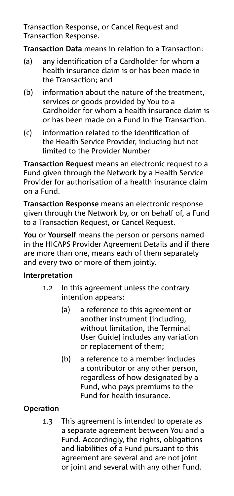Transaction Response, or Cancel Request and Transaction Response.

**Transaction Data** means in relation to a Transaction:

- (a) any identification of a Cardholder for whom a health insurance claim is or has been made in the Transaction; and
- (b) information about the nature of the treatment, services or goods provided by You to a Cardholder for whom a health insurance claim is or has been made on a Fund in the Transaction.
- (c) information related to the identification of the Health Service Provider, including but not limited to the Provider Number

**Transaction Request** means an electronic request to a Fund given through the Network by a Health Service Provider for authorisation of a health insurance claim on a Fund.

**Transaction Response** means an electronic response given through the Network by, or on behalf of, a Fund to a Transaction Request, or Cancel Request.

**You** or **Yourself** means the person or persons named in the HICAPS Provider Agreement Details and if there are more than one, means each of them separately and every two or more of them jointly.

#### **Interpretation**

- 1.2 In this agreement unless the contrary intention appears:
	- (a) a reference to this agreement or another instrument (including, without limitation, the Terminal User Guide) includes any variation or replacement of them;
	- (b) a reference to a member includes a contributor or any other person, regardless of how designated by a Fund, who pays premiums to the Fund for health insurance.

### **Operation**

1.3 This agreement is intended to operate as a separate agreement between You and a Fund. Accordingly, the rights, obligations and liabilities of a Fund pursuant to this agreement are several and are not joint or joint and several with any other Fund.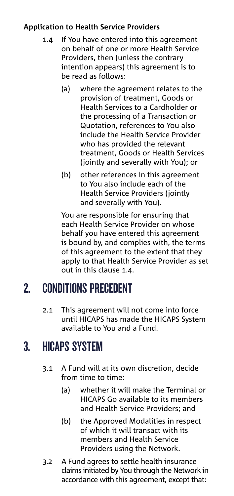#### **Application to Health Service Providers**

- 1.4 If You have entered into this agreement on behalf of one or more Health Service Providers, then (unless the contrary intention appears) this agreement is to be read as follows:
	- (a) where the agreement relates to the provision of treatment, Goods or Health Services to a Cardholder or the processing of a Transaction or Quotation, references to You also include the Health Service Provider who has provided the relevant treatment, Goods or Health Services (jointly and severally with You); or
	- (b) other references in this agreement to You also include each of the Health Service Providers (jointly and severally with You).

 You are responsible for ensuring that each Health Service Provider on whose behalf you have entered this agreement is bound by, and complies with, the terms of this agreement to the extent that they apply to that Health Service Provider as set out in this clause 1.4.

### 2. CONDITIONS PRECEDENT

2.1 This agreement will not come into force until HICAPS has made the HICAPS System available to You and a Fund.

### 3. HICAPS SYSTEM

- 3.1 A Fund will at its own discretion, decide from time to time:
	- (a) whether it will make the Terminal or HICAPS Go available to its members and Health Service Providers; and
	- (b) the Approved Modalities in respect of which it will transact with its members and Health Service Providers using the Network.
- 3.2 A Fund agrees to settle health insurance claims initiated by You through the Network in accordance with this agreement, except that: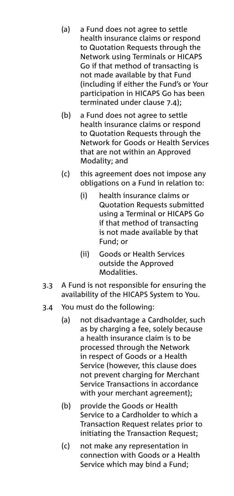- (a) a Fund does not agree to settle health insurance claims or respond to Quotation Requests through the Network using Terminals or HICAPS Go if that method of transacting is not made available by that Fund (including if either the Fund's or Your participation in HICAPS Go has been terminated under clause 7.4);
- (b) a Fund does not agree to settle health insurance claims or respond to Quotation Requests through the Network for Goods or Health Services that are not within an Approved Modality; and
- (c) this agreement does not impose any obligations on a Fund in relation to:
	- (i) health insurance claims or Quotation Requests submitted using a Terminal or HICAPS Go if that method of transacting is not made available by that Fund; or
	- (ii) Goods or Health Services outside the Approved Modalities.
- 3.3 A Fund is not responsible for ensuring the availability of the HICAPS System to You.
- 3.4 You must do the following:
	- (a) not disadvantage a Cardholder, such as by charging a fee, solely because a health insurance claim is to be processed through the Network in respect of Goods or a Health Service (however, this clause does not prevent charging for Merchant Service Transactions in accordance with your merchant agreement);
	- (b) provide the Goods or Health Service to a Cardholder to which a Transaction Request relates prior to initiating the Transaction Request;
	- (c) not make any representation in connection with Goods or a Health Service which may bind a Fund;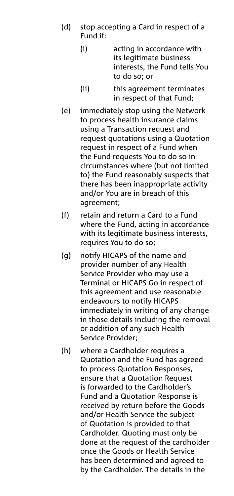- (d) stop accepting a Card in respect of a Fund if:
	- (i) acting in accordance with its legitimate business interests, the Fund tells You to do so; or
	- (ii) this agreement terminates in respect of that Fund;
- (e) immediately stop using the Network to process health insurance claims using a Transaction request and request quotations using a Quotation request in respect of a Fund when the Fund requests You to do so in circumstances where (but not limited to) the Fund reasonably suspects that there has been inappropriate activity and/or You are in breach of this agreement;
- (f) retain and return a Card to a Fund where the Fund, acting in accordance with its legitimate business interests, requires You to do so;
- (g) notify HICAPS of the name and provider number of any Health Service Provider who may use a Terminal or HICAPS Go in respect of this agreement and use reasonable endeavours to notify HICAPS immediately in writing of any change in those details including the removal or addition of any such Health Service Provider;
- (h) where a Cardholder requires a Quotation and the Fund has agreed to process Quotation Responses, ensure that a Quotation Request is forwarded to the Cardholder's Fund and a Quotation Response is received by return before the Goods and/or Health Service the subject of Quotation is provided to that Cardholder. Quoting must only be done at the request of the cardholder once the Goods or Health Service has been determined and agreed to by the Cardholder. The details in the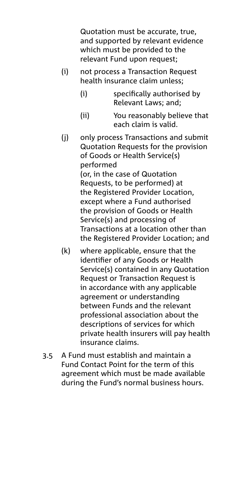Quotation must be accurate, true, and supported by relevant evidence which must be provided to the relevant Fund upon request;

- (i) not process a Transaction Request health insurance claim unless;
	- (i) specifically authorised by Relevant Laws; and;
	- (ii) You reasonably believe that each claim is valid.
- (j) only process Transactions and submit Quotation Requests for the provision of Goods or Health Service(s) performed (or, in the case of Quotation Requests, to be performed) at the Registered Provider Location, except where a Fund authorised the provision of Goods or Health Service(s) and processing of Transactions at a location other than the Registered Provider Location; and
- (k) where applicable, ensure that the identifier of any Goods or Health Service(s) contained in any Quotation Request or Transaction Request is in accordance with any applicable agreement or understanding between Funds and the relevant professional association about the descriptions of services for which private health insurers will pay health insurance claims.
- 3.5 A Fund must establish and maintain a Fund Contact Point for the term of this agreement which must be made available during the Fund's normal business hours.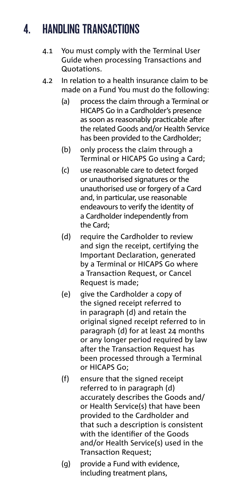# 4. HANDLING TRANSACTIONS

- 4.1 You must comply with the Terminal User Guide when processing Transactions and Quotations.
- 4.2 In relation to a health insurance claim to be made on a Fund You must do the following:
	- (a) process the claim through a Terminal or HICAPS Go in a Cardholder's presence as soon as reasonably practicable after the related Goods and/or Health Service has been provided to the Cardholder;
	- (b) only process the claim through a Terminal or HICAPS Go using a Card;
	- (c) use reasonable care to detect forged or unauthorised signatures or the unauthorised use or forgery of a Card and, in particular, use reasonable endeavours to verify the identity of a Cardholder independently from the Card;
	- (d) require the Cardholder to review and sign the receipt, certifying the Important Declaration, generated by a Terminal or HICAPS Go where a Transaction Request, or Cancel Request is made;
	- (e) give the Cardholder a copy of the signed receipt referred to in paragraph (d) and retain the original signed receipt referred to in paragraph (d) for at least 24 months or any longer period required by law after the Transaction Request has been processed through a Terminal or HICAPS Go;
	- (f) ensure that the signed receipt referred to in paragraph (d) accurately describes the Goods and/ or Health Service(s) that have been provided to the Cardholder and that such a description is consistent with the identifier of the Goods and/or Health Service(s) used in the Transaction Request;
	- (g) provide a Fund with evidence, including treatment plans,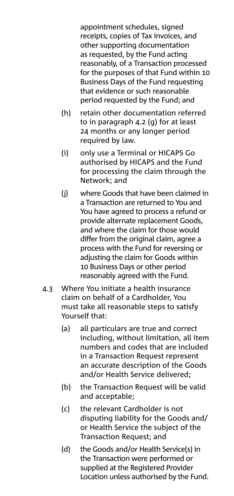appointment schedules, signed receipts, copies of Tax Invoices, and other supporting documentation as requested, by the Fund acting reasonably, of a Transaction processed for the purposes of that Fund within 10 Business Days of the Fund requesting that evidence or such reasonable period requested by the Fund; and

- (h) retain other documentation referred to in paragraph 4.2 (g) for at least 24 months or any longer period required by law.
- (i) only use a Terminal or HICAPS Go authorised by HICAPS and the Fund for processing the claim through the Network; and
- (j) where Goods that have been claimed in a Transaction are returned to You and You have agreed to process a refund or provide alternate replacement Goods, and where the claim for those would differ from the original claim, agree a process with the Fund for reversing or adjusting the claim for Goods within 10 Business Days or other period reasonably agreed with the Fund.
- 4.3 Where You initiate a health insurance claim on behalf of a Cardholder, You must take all reasonable steps to satisfy Yourself that:
	- (a) all particulars are true and correct including, without limitation, all item numbers and codes that are included in a Transaction Request represent an accurate description of the Goods and/or Health Service delivered;
	- (b) the Transaction Request will be valid and acceptable;
	- (c) the relevant Cardholder is not disputing liability for the Goods and/ or Health Service the subject of the Transaction Request; and
	- (d) the Goods and/or Health Service(s) in the Transaction were performed or supplied at the Registered Provider Location unless authorised by the Fund.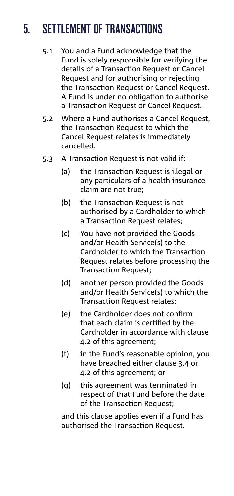# 5. SETTLEMENT OF TRANSACTIONS

- 5.1 You and a Fund acknowledge that the Fund is solely responsible for verifying the details of a Transaction Request or Cancel Request and for authorising or rejecting the Transaction Request or Cancel Request. A Fund is under no obligation to authorise a Transaction Request or Cancel Request.
- 5.2 Where a Fund authorises a Cancel Request, the Transaction Request to which the Cancel Request relates is immediately cancelled.
- 5.3 A Transaction Request is not valid if:
	- (a) the Transaction Request is illegal or any particulars of a health insurance claim are not true;
	- (b) the Transaction Request is not authorised by a Cardholder to which a Transaction Request relates;
	- (c) You have not provided the Goods and/or Health Service(s) to the Cardholder to which the Transaction Request relates before processing the Transaction Request;
	- (d) another person provided the Goods and/or Health Service(s) to which the Transaction Request relates;
	- (e) the Cardholder does not confirm that each claim is certified by the Cardholder in accordance with clause 4.2 of this agreement;
	- (f) in the Fund's reasonable opinion, you have breached either clause 3.4 or 4.2 of this agreement; or
	- (g) this agreement was terminated in respect of that Fund before the date of the Transaction Request;

 and this clause applies even if a Fund has authorised the Transaction Request.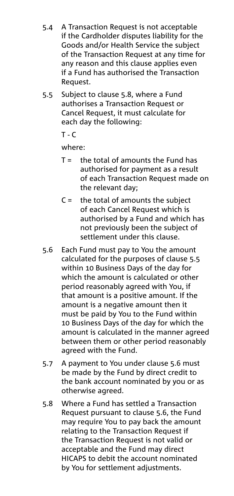- 5.4 A Transaction Request is not acceptable if the Cardholder disputes liability for the Goods and/or Health Service the subject of the Transaction Request at any time for any reason and this clause applies even if a Fund has authorised the Transaction Request.
- 5.5 Subject to clause 5.8, where a Fund authorises a Transaction Request or Cancel Request, it must calculate for each day the following:

 $T - C$ 

where:

- $T =$  the total of amounts the Fund has authorised for payment as a result of each Transaction Request made on the relevant day;
- $C =$  the total of amounts the subject of each Cancel Request which is authorised by a Fund and which has not previously been the subject of settlement under this clause.
- 5.6 Each Fund must pay to You the amount calculated for the purposes of clause 5.5 within 10 Business Days of the day for which the amount is calculated or other period reasonably agreed with You, if that amount is a positive amount. If the amount is a negative amount then it must be paid by You to the Fund within 10 Business Days of the day for which the amount is calculated in the manner agreed between them or other period reasonably agreed with the Fund.
- 5.7 A payment to You under clause 5.6 must be made by the Fund by direct credit to the bank account nominated by you or as otherwise agreed.
- 5.8 Where a Fund has settled a Transaction Request pursuant to clause 5.6, the Fund may require You to pay back the amount relating to the Transaction Request if the Transaction Request is not valid or acceptable and the Fund may direct HICAPS to debit the account nominated by You for settlement adjustments.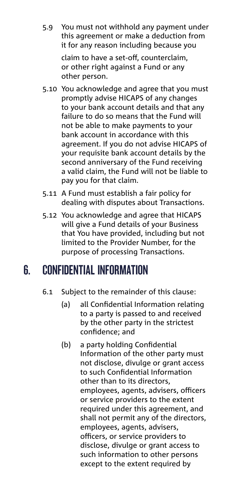5.9 You must not withhold any payment under this agreement or make a deduction from it for any reason including because you

> claim to have a set-off, counterclaim, or other right against a Fund or any other person.

- 5.10 You acknowledge and agree that you must promptly advise HICAPS of any changes to your bank account details and that any failure to do so means that the Fund will not be able to make payments to your bank account in accordance with this agreement. If you do not advise HICAPS of your requisite bank account details by the second anniversary of the Fund receiving a valid claim, the Fund will not be liable to pay you for that claim.
- 5.11 A Fund must establish a fair policy for dealing with disputes about Transactions.
- 5.12 You acknowledge and agree that HICAPS will give a Fund details of your Business that You have provided, including but not limited to the Provider Number, for the purpose of processing Transactions.

### 6. CONFIDENTIAL INFORMATION

- 6.1 Subject to the remainder of this clause:
	- (a) all Confidential Information relating to a party is passed to and received by the other party in the strictest confidence; and
	- (b) a party holding Confidential Information of the other party must not disclose, divulge or grant access to such Confidential Information other than to its directors, employees, agents, advisers, officers or service providers to the extent required under this agreement, and shall not permit any of the directors, employees, agents, advisers, officers, or service providers to disclose, divulge or grant access to such information to other persons except to the extent required by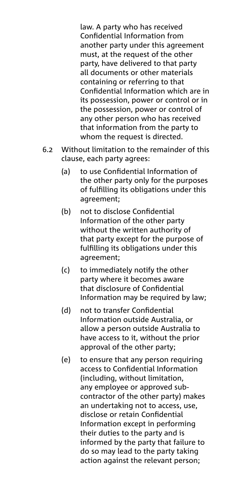law. A party who has received Confidential Information from another party under this agreement must, at the request of the other party, have delivered to that party all documents or other materials containing or referring to that Confidential Information which are in its possession, power or control or in the possession, power or control of any other person who has received that information from the party to whom the request is directed.

- 6.2 Without limitation to the remainder of this clause, each party agrees:
	- (a) to use Confidential Information of the other party only for the purposes of fulfilling its obligations under this agreement;
	- (b) not to disclose Confidential Information of the other party without the written authority of that party except for the purpose of fulfilling its obligations under this agreement;
	- (c) to immediately notify the other party where it becomes aware that disclosure of Confidential Information may be required by law;
	- (d) not to transfer Confidential Information outside Australia, or allow a person outside Australia to have access to it, without the prior approval of the other party;
	- (e) to ensure that any person requiring access to Confidential Information (including, without limitation, any employee or approved subcontractor of the other party) makes an undertaking not to access, use, disclose or retain Confidential Information except in performing their duties to the party and is informed by the party that failure to do so may lead to the party taking action against the relevant person;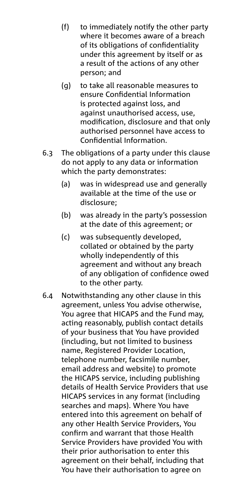- (f) to immediately notify the other party where it becomes aware of a breach of its obligations of confidentiality under this agreement by itself or as a result of the actions of any other person; and
- (g) to take all reasonable measures to ensure Confidential Information is protected against loss, and against unauthorised access, use, modification, disclosure and that only authorised personnel have access to Confidential Information.
- 6.3 The obligations of a party under this clause do not apply to any data or information which the party demonstrates:
	- (a) was in widespread use and generally available at the time of the use or disclosure;
	- (b) was already in the party's possession at the date of this agreement; or
	- (c) was subsequently developed, collated or obtained by the party wholly independently of this agreement and without any breach of any obligation of confidence owed to the other party.
- 6.4 Notwithstanding any other clause in this agreement, unless You advise otherwise, You agree that HICAPS and the Fund may, acting reasonably, publish contact details of your business that You have provided (including, but not limited to business name, Registered Provider Location, telephone number, facsimile number, email address and website) to promote the HICAPS service, including publishing details of Health Service Providers that use HICAPS services in any format (including searches and maps). Where You have entered into this agreement on behalf of any other Health Service Providers, You confirm and warrant that those Health Service Providers have provided You with their prior authorisation to enter this agreement on their behalf, including that You have their authorisation to agree on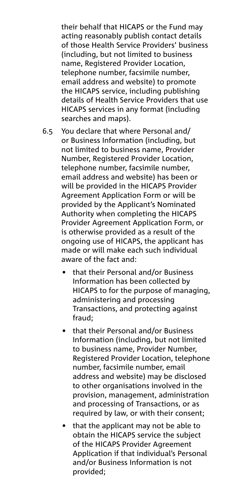their behalf that HICAPS or the Fund may acting reasonably publish contact details of those Health Service Providers' business (including, but not limited to business name, Registered Provider Location, telephone number, facsimile number, email address and website) to promote the HICAPS service, including publishing details of Health Service Providers that use HICAPS services in any format (including searches and maps).

- 6.5 You declare that where Personal and/ or Business Information (including, but not limited to business name, Provider Number, Registered Provider Location, telephone number, facsimile number, email address and website) has been or will be provided in the HICAPS Provider Agreement Application Form or will be provided by the Applicant's Nominated Authority when completing the HICAPS Provider Agreement Application Form, or is otherwise provided as a result of the ongoing use of HICAPS, the applicant has made or will make each such individual aware of the fact and:
	- that their Personal and/or Business Information has been collected by HICAPS to for the purpose of managing, administering and processing Transactions, and protecting against fraud;
	- that their Personal and/or Business Information (including, but not limited to business name, Provider Number, Registered Provider Location, telephone number, facsimile number, email address and website) may be disclosed to other organisations involved in the provision, management, administration and processing of Transactions, or as required by law, or with their consent;
	- that the applicant may not be able to obtain the HICAPS service the subject of the HICAPS Provider Agreement Application if that individual's Personal and/or Business Information is not provided;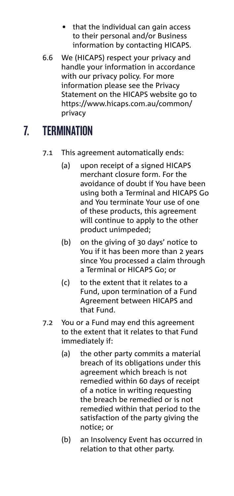- that the individual can gain access to their personal and/or Business information by contacting HICAPS.
- 6.6 We (HICAPS) respect your privacy and handle your information in accordance with our privacy policy. For more information please see the Privacy Statement on the HICAPS website go to https://www.hicaps.com.au/common/ privacy

# 7. TERMINATION

- 7.1 This agreement automatically ends:
	- (a) upon receipt of a signed HICAPS merchant closure form. For the avoidance of doubt if You have been using both a Terminal and HICAPS Go and You terminate Your use of one of these products, this agreement will continue to apply to the other product unimpeded;
	- (b) on the giving of 30 days' notice to You if it has been more than 2 years since You processed a claim through a Terminal or HICAPS Go; or
	- (c) to the extent that it relates to a Fund, upon termination of a Fund Agreement between HICAPS and that Fund.
- 7.2 You or a Fund may end this agreement to the extent that it relates to that Fund immediately if:
	- (a) the other party commits a material breach of its obligations under this agreement which breach is not remedied within 60 days of receipt of a notice in writing requesting the breach be remedied or is not remedied within that period to the satisfaction of the party giving the notice; or
	- (b) an Insolvency Event has occurred in relation to that other party.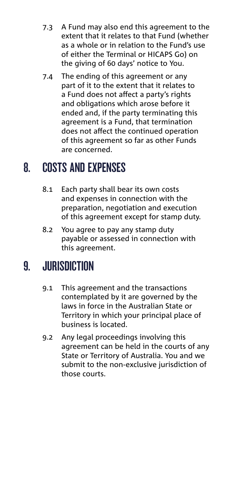- 7.3 A Fund may also end this agreement to the extent that it relates to that Fund (whether as a whole or in relation to the Fund's use of either the Terminal or HICAPS Go) on the giving of 60 days' notice to You.
- 7.4 The ending of this agreement or any part of it to the extent that it relates to a Fund does not affect a party's rights and obligations which arose before it ended and, if the party terminating this agreement is a Fund, that termination does not affect the continued operation of this agreement so far as other Funds are concerned.

### 8. COSTS AND EXPENSES

- 8.1 Each party shall bear its own costs and expenses in connection with the preparation, negotiation and execution of this agreement except for stamp duty.
- 8.2 You agree to pay any stamp duty payable or assessed in connection with this agreement.

### 9. JURISDICTION

- 9.1 This agreement and the transactions contemplated by it are governed by the laws in force in the Australian State or Territory in which your principal place of business is located.
- 9.2 Any legal proceedings involving this agreement can be held in the courts of any State or Territory of Australia. You and we submit to the non-exclusive jurisdiction of those courts.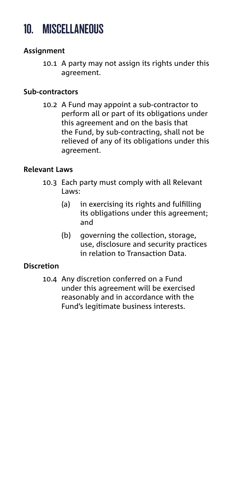### 10. MISCELLANEOUS

#### **Assignment**

10.1 A party may not assign its rights under this agreement.

#### **Sub-contractors**

10.2 A Fund may appoint a sub-contractor to perform all or part of its obligations under this agreement and on the basis that the Fund, by sub-contracting, shall not be relieved of any of its obligations under this agreement.

#### **Relevant Laws**

- 10.3 Each party must comply with all Relevant Laws:
	- (a) in exercising its rights and fulfilling its obligations under this agreement; and
	- (b) governing the collection, storage, use, disclosure and security practices in relation to Transaction Data.

#### **Discretion**

10.4 Any discretion conferred on a Fund under this agreement will be exercised reasonably and in accordance with the Fund's legitimate business interests.